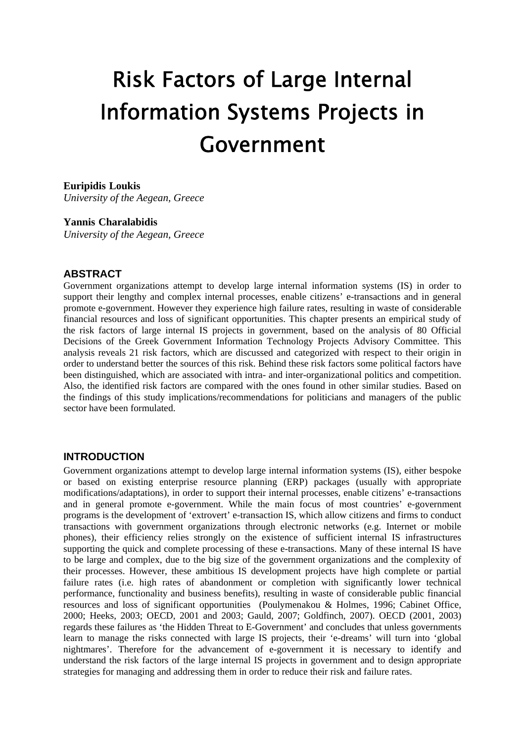# Risk Factors of Large Internal Information Systems Projects in Government

### **Euripidis Loukis**

*University of the Aegean, Greece* 

### **Yannis Charalabidis**

*University of the Aegean, Greece* 

## **ABSTRACT**

Government organizations attempt to develop large internal information systems (IS) in order to support their lengthy and complex internal processes, enable citizens' e-transactions and in general promote e-government. However they experience high failure rates, resulting in waste of considerable financial resources and loss of significant opportunities. This chapter presents an empirical study of the risk factors of large internal IS projects in government, based on the analysis of 80 Official Decisions of the Greek Government Information Technology Projects Advisory Committee. This analysis reveals 21 risk factors, which are discussed and categorized with respect to their origin in order to understand better the sources of this risk. Behind these risk factors some political factors have been distinguished, which are associated with intra- and inter-organizational politics and competition. Also, the identified risk factors are compared with the ones found in other similar studies. Based on the findings of this study implications/recommendations for politicians and managers of the public sector have been formulated.

## **INTRODUCTION**

Government organizations attempt to develop large internal information systems (IS), either bespoke or based on existing enterprise resource planning (ERP) packages (usually with appropriate modifications/adaptations), in order to support their internal processes, enable citizens' e-transactions and in general promote e-government. While the main focus of most countries' e-government programs is the development of 'extrovert' e-transaction IS, which allow citizens and firms to conduct transactions with government organizations through electronic networks (e.g. Internet or mobile phones), their efficiency relies strongly on the existence of sufficient internal IS infrastructures supporting the quick and complete processing of these e-transactions. Many of these internal IS have to be large and complex, due to the big size of the government organizations and the complexity of their processes. However, these ambitious IS development projects have high complete or partial failure rates (i.e. high rates of abandonment or completion with significantly lower technical performance, functionality and business benefits), resulting in waste of considerable public financial resources and loss of significant opportunities (Poulymenakou & Holmes, 1996; Cabinet Office, 2000; Heeks, 2003; OECD, 2001 and 2003; Gauld, 2007; Goldfinch, 2007). OECD (2001, 2003) regards these failures as 'the Hidden Threat to E-Government' and concludes that unless governments learn to manage the risks connected with large IS projects, their 'e-dreams' will turn into 'global nightmares'. Therefore for the advancement of e-government it is necessary to identify and understand the risk factors of the large internal IS projects in government and to design appropriate strategies for managing and addressing them in order to reduce their risk and failure rates.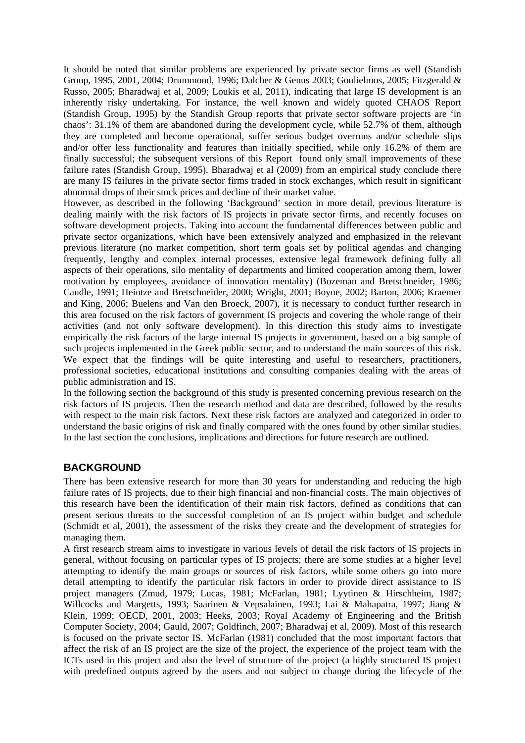It should be noted that similar problems are experienced by private sector firms as well (Standish Group, 1995, 2001, 2004; Drummond, 1996; Dalcher & Genus 2003; Goulielmos, 2005; Fitzgerald & Russo, 2005; Bharadwaj et al, 2009; Loukis et al, 2011), indicating that large IS development is an inherently risky undertaking. For instance, the well known and widely quoted CHAOS Report (Standish Group, 1995) by the Standish Group reports that private sector software projects are 'in chaos': 31.1% of them are abandoned during the development cycle, while 52.7% of them, although they are completed and become operational, suffer serious budget overruns and/or schedule slips and/or offer less functionality and features than initially specified, while only 16.2% of them are finally successful; the subsequent versions of this Report found only small improvements of these failure rates (Standish Group, 1995). Bharadwaj et al (2009) from an empirical study conclude there are many IS failures in the private sector firms traded in stock exchanges, which result in significant abnormal drops of their stock prices and decline of their market value.

However, as described in the following 'Background' section in more detail, previous literature is dealing mainly with the risk factors of IS projects in private sector firms, and recently focuses on software development projects. Taking into account the fundamental differences between public and private sector organizations, which have been extensively analyzed and emphasized in the relevant previous literature (no market competition, short term goals set by political agendas and changing frequently, lengthy and complex internal processes, extensive legal framework defining fully all aspects of their operations, silo mentality of departments and limited cooperation among them, lower motivation by employees, avoidance of innovation mentality) (Bozeman and Bretschneider, 1986; Caudle, 1991; Heintze and Bretschneider, 2000; Wright, 2001; Boyne, 2002; Barton, 2006; Kraemer and King, 2006; Buelens and Van den Broeck, 2007), it is necessary to conduct further research in this area focused on the risk factors of government IS projects and covering the whole range of their activities (and not only software development). In this direction this study aims to investigate empirically the risk factors of the large internal IS projects in government, based on a big sample of such projects implemented in the Greek public sector, and to understand the main sources of this risk. We expect that the findings will be quite interesting and useful to researchers, practitioners, professional societies, educational institutions and consulting companies dealing with the areas of public administration and IS.

In the following section the background of this study is presented concerning previous research on the risk factors of IS projects. Then the research method and data are described, followed by the results with respect to the main risk factors. Next these risk factors are analyzed and categorized in order to understand the basic origins of risk and finally compared with the ones found by other similar studies. In the last section the conclusions, implications and directions for future research are outlined.

### **BACKGROUND**

There has been extensive research for more than 30 years for understanding and reducing the high failure rates of IS projects, due to their high financial and non-financial costs. The main objectives of this research have been the identification of their main risk factors, defined as conditions that can present serious threats to the successful completion of an IS project within budget and schedule (Schmidt et al, 2001), the assessment of the risks they create and the development of strategies for managing them.

A first research stream aims to investigate in various levels of detail the risk factors of IS projects in general, without focusing on particular types of IS projects; there are some studies at a higher level attempting to identify the main groups or sources of risk factors, while some others go into more detail attempting to identify the particular risk factors in order to provide direct assistance to IS project managers (Zmud, 1979; Lucas, 1981; McFarlan, 1981; Lyytinen & Hirschheim, 1987; Willcocks and Margetts, 1993; Saarinen & Vepsalainen, 1993; Lai & Mahapatra, 1997; Jiang & Klein, 1999; OECD, 2001, 2003; Heeks, 2003; Royal Academy of Engineering and the British Computer Society, 2004; Gauld, 2007; Goldfinch, 2007; Bharadwaj et al, 2009). Most of this research is focused on the private sector IS. McFarlan (1981) concluded that the most important factors that affect the risk of an IS project are the size of the project, the experience of the project team with the ICTs used in this project and also the level of structure of the project (a highly structured IS project with predefined outputs agreed by the users and not subject to change during the lifecycle of the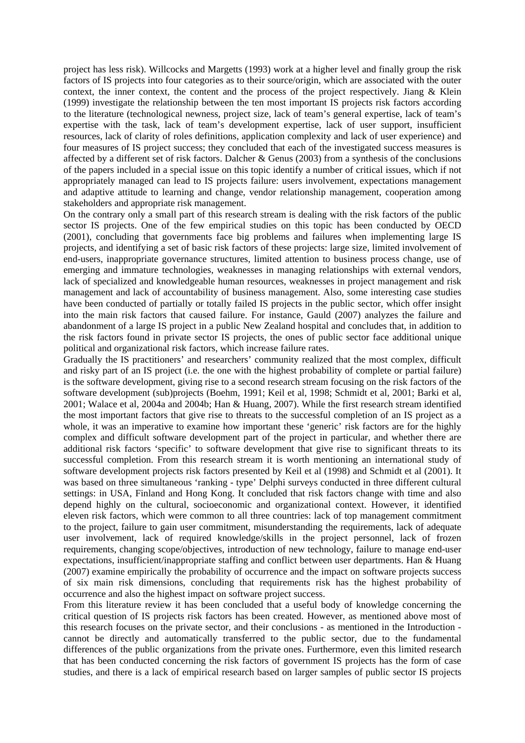project has less risk). Willcocks and Margetts (1993) work at a higher level and finally group the risk factors of IS projects into four categories as to their source/origin, which are associated with the outer context, the inner context, the content and the process of the project respectively. Jiang & Klein (1999) investigate the relationship between the ten most important IS projects risk factors according to the literature (technological newness, project size, lack of team's general expertise, lack of team's expertise with the task, lack of team's development expertise, lack of user support, insufficient resources, lack of clarity of roles definitions, application complexity and lack of user experience) and four measures of IS project success; they concluded that each of the investigated success measures is affected by a different set of risk factors. Dalcher & Genus (2003) from a synthesis of the conclusions of the papers included in a special issue on this topic identify a number of critical issues, which if not appropriately managed can lead to IS projects failure: users involvement, expectations management and adaptive attitude to learning and change, vendor relationship management, cooperation among stakeholders and appropriate risk management.

On the contrary only a small part of this research stream is dealing with the risk factors of the public sector IS projects. One of the few empirical studies on this topic has been conducted by OECD (2001), concluding that governments face big problems and failures when implementing large IS projects, and identifying a set of basic risk factors of these projects: large size, limited involvement of end-users, inappropriate governance structures, limited attention to business process change, use of emerging and immature technologies, weaknesses in managing relationships with external vendors, lack of specialized and knowledgeable human resources, weaknesses in project management and risk management and lack of accountability of business management. Also, some interesting case studies have been conducted of partially or totally failed IS projects in the public sector, which offer insight into the main risk factors that caused failure. For instance, Gauld (2007) analyzes the failure and abandonment of a large IS project in a public New Zealand hospital and concludes that, in addition to the risk factors found in private sector IS projects, the ones of public sector face additional unique political and organizational risk factors, which increase failure rates.

Gradually the IS practitioners' and researchers' community realized that the most complex, difficult and risky part of an IS project (i.e. the one with the highest probability of complete or partial failure) is the software development, giving rise to a second research stream focusing on the risk factors of the software development (sub)projects (Boehm, 1991; Keil et al, 1998; Schmidt et al, 2001; Barki et al, 2001; Walace et al, 2004a and 2004b; Han & Huang, 2007). While the first research stream identified the most important factors that give rise to threats to the successful completion of an IS project as a whole, it was an imperative to examine how important these 'generic' risk factors are for the highly complex and difficult software development part of the project in particular, and whether there are additional risk factors 'specific' to software development that give rise to significant threats to its successful completion. From this research stream it is worth mentioning an international study of software development projects risk factors presented by Keil et al (1998) and Schmidt et al (2001). It was based on three simultaneous 'ranking - type' Delphi surveys conducted in three different cultural settings: in USA, Finland and Hong Kong. It concluded that risk factors change with time and also depend highly on the cultural, socioeconomic and organizational context. However, it identified eleven risk factors, which were common to all three countries: lack of top management commitment to the project, failure to gain user commitment, misunderstanding the requirements, lack of adequate user involvement, lack of required knowledge/skills in the project personnel, lack of frozen requirements, changing scope/objectives, introduction of new technology, failure to manage end-user expectations, insufficient/inappropriate staffing and conflict between user departments. Han & Huang (2007) examine empirically the probability of occurrence and the impact on software projects success of six main risk dimensions, concluding that requirements risk has the highest probability of occurrence and also the highest impact on software project success.

From this literature review it has been concluded that a useful body of knowledge concerning the critical question of IS projects risk factors has been created. However, as mentioned above most of this research focuses on the private sector, and their conclusions - as mentioned in the Introduction cannot be directly and automatically transferred to the public sector, due to the fundamental differences of the public organizations from the private ones. Furthermore, even this limited research that has been conducted concerning the risk factors of government IS projects has the form of case studies, and there is a lack of empirical research based on larger samples of public sector IS projects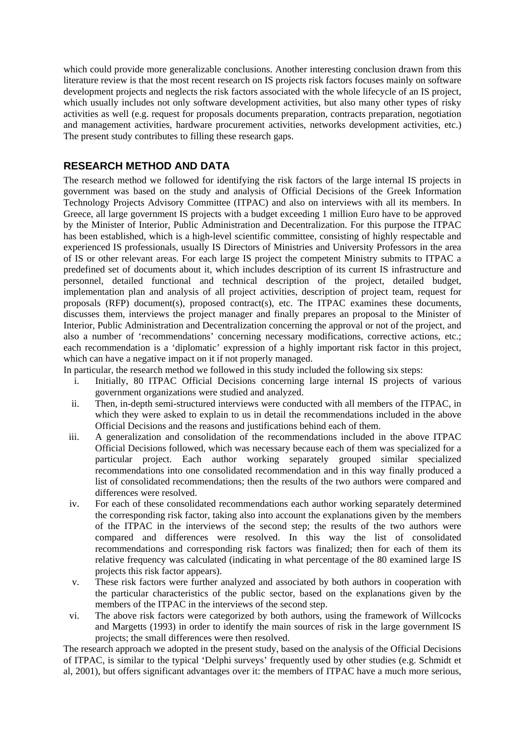which could provide more generalizable conclusions. Another interesting conclusion drawn from this literature review is that the most recent research on IS projects risk factors focuses mainly on software development projects and neglects the risk factors associated with the whole lifecycle of an IS project, which usually includes not only software development activities, but also many other types of risky activities as well (e.g. request for proposals documents preparation, contracts preparation, negotiation and management activities, hardware procurement activities, networks development activities, etc.) The present study contributes to filling these research gaps.

# **RESEARCH METHOD AND DATA**

The research method we followed for identifying the risk factors of the large internal IS projects in government was based on the study and analysis of Official Decisions of the Greek Information Technology Projects Advisory Committee (ITPAC) and also on interviews with all its members. In Greece, all large government IS projects with a budget exceeding 1 million Euro have to be approved by the Minister of Interior, Public Administration and Decentralization. For this purpose the ITPAC has been established, which is a high-level scientific committee, consisting of highly respectable and experienced IS professionals, usually IS Directors of Ministries and University Professors in the area of IS or other relevant areas. For each large IS project the competent Ministry submits to ITPAC a predefined set of documents about it, which includes description of its current IS infrastructure and personnel, detailed functional and technical description of the project, detailed budget, implementation plan and analysis of all project activities, description of project team, request for proposals (RFP) document(s), proposed contract(s), etc. The ITPAC examines these documents, discusses them, interviews the project manager and finally prepares an proposal to the Minister of Interior, Public Administration and Decentralization concerning the approval or not of the project, and also a number of 'recommendations' concerning necessary modifications, corrective actions, etc.; each recommendation is a 'diplomatic' expression of a highly important risk factor in this project, which can have a negative impact on it if not properly managed.

In particular, the research method we followed in this study included the following six steps:

- i. Initially, 80 ITPAC Official Decisions concerning large internal IS projects of various government organizations were studied and analyzed.
- ii. Then, in-depth semi-structured interviews were conducted with all members of the ITPAC, in which they were asked to explain to us in detail the recommendations included in the above Official Decisions and the reasons and justifications behind each of them.
- iii. A generalization and consolidation of the recommendations included in the above ITPAC Official Decisions followed, which was necessary because each of them was specialized for a particular project. Each author working separately grouped similar specialized recommendations into one consolidated recommendation and in this way finally produced a list of consolidated recommendations; then the results of the two authors were compared and differences were resolved.
- iv. For each of these consolidated recommendations each author working separately determined the corresponding risk factor, taking also into account the explanations given by the members of the ITPAC in the interviews of the second step; the results of the two authors were compared and differences were resolved. In this way the list of consolidated recommendations and corresponding risk factors was finalized; then for each of them its relative frequency was calculated (indicating in what percentage of the 80 examined large IS projects this risk factor appears).
- v. These risk factors were further analyzed and associated by both authors in cooperation with the particular characteristics of the public sector, based on the explanations given by the members of the ITPAC in the interviews of the second step.
- vi. The above risk factors were categorized by both authors, using the framework of Willcocks and Margetts (1993) in order to identify the main sources of risk in the large government IS projects; the small differences were then resolved.

The research approach we adopted in the present study, based on the analysis of the Official Decisions of ITPAC, is similar to the typical 'Delphi surveys' frequently used by other studies (e.g. Schmidt et al, 2001), but offers significant advantages over it: the members of ITPAC have a much more serious,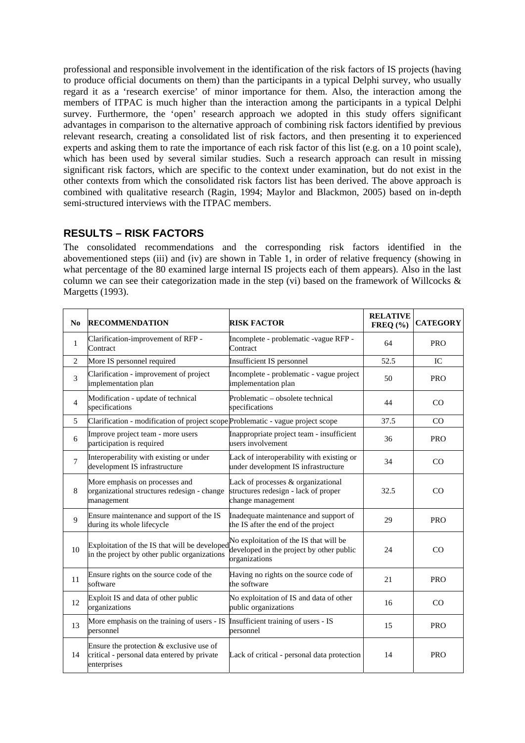professional and responsible involvement in the identification of the risk factors of IS projects (having to produce official documents on them) than the participants in a typical Delphi survey, who usually regard it as a 'research exercise' of minor importance for them. Also, the interaction among the members of ITPAC is much higher than the interaction among the participants in a typical Delphi survey. Furthermore, the 'open' research approach we adopted in this study offers significant advantages in comparison to the alternative approach of combining risk factors identified by previous relevant research, creating a consolidated list of risk factors, and then presenting it to experienced experts and asking them to rate the importance of each risk factor of this list (e.g. on a 10 point scale), which has been used by several similar studies. Such a research approach can result in missing significant risk factors, which are specific to the context under examination, but do not exist in the other contexts from which the consolidated risk factors list has been derived. The above approach is combined with qualitative research (Ragin, 1994; Maylor and Blackmon, 2005) based on in-depth semi-structured interviews with the ITPAC members.

# **RESULTS – RISK FACTORS**

The consolidated recommendations and the corresponding risk factors identified in the abovementioned steps (iii) and (iv) are shown in Table 1, in order of relative frequency (showing in what percentage of the 80 examined large internal IS projects each of them appears). Also in the last column we can see their categorization made in the step (vi) based on the framework of Willcocks & Margetts (1993).

| No             | <b>RECOMMENDATION</b>                                                                                  | <b>RISK FACTOR</b>                                                                                  | <b>RELATIVE</b><br>$FREQ (\%)$ | <b>CATEGORY</b> |
|----------------|--------------------------------------------------------------------------------------------------------|-----------------------------------------------------------------------------------------------------|--------------------------------|-----------------|
| $\mathbf{1}$   | Clarification-improvement of RFP -<br>Contract                                                         | Incomplete - problematic -vague RFP -<br>Contract                                                   | 64                             | <b>PRO</b>      |
| $\overline{2}$ | More IS personnel required                                                                             | Insufficient IS personnel                                                                           | 52.5                           | IC              |
| 3              | Clarification - improvement of project<br>implementation plan                                          | Incomplete - problematic - vague project<br>implementation plan                                     | 50                             | <b>PRO</b>      |
| $\overline{4}$ | Modification - update of technical<br>specifications                                                   | Problematic – obsolete technical<br>specifications                                                  | 44                             | CO              |
| 5              | Clarification - modification of project scope Problematic - vague project scope                        |                                                                                                     | 37.5                           | CO              |
| 6              | Improve project team - more users<br>participation is required                                         | Inappropriate project team - insufficient<br>users involvement                                      | 36                             | <b>PRO</b>      |
| 7              | Interoperability with existing or under<br>development IS infrastructure                               | Lack of interoperability with existing or<br>under development IS infrastructure                    | 34                             | CO              |
| 8              | More emphasis on processes and<br>organizational structures redesign - change<br>management            | Lack of processes & organizational<br>structures redesign - lack of proper<br>change management     | 32.5                           | CO              |
| 9              | Ensure maintenance and support of the IS<br>during its whole lifecycle                                 | Inadequate maintenance and support of<br>the IS after the end of the project                        | 29                             | <b>PRO</b>      |
| 10             | Exploitation of the IS that will be developed<br>in the project by other public organizations          | No exploitation of the IS that will be<br>developed in the project by other public<br>organizations | 24                             | CO              |
| 11             | Ensure rights on the source code of the<br>software                                                    | Having no rights on the source code of<br>the software                                              | 21                             | <b>PRO</b>      |
| 12             | Exploit IS and data of other public<br>organizations                                                   | No exploitation of IS and data of other<br>public organizations                                     | 16                             | <sub>CO</sub>   |
| 13             | More emphasis on the training of users - IS<br>personnel                                               | Insufficient training of users - IS<br>personnel                                                    | 15                             | <b>PRO</b>      |
| 14             | Ensure the protection & exclusive use of<br>critical - personal data entered by private<br>enterprises | Lack of critical - personal data protection                                                         | 14                             | <b>PRO</b>      |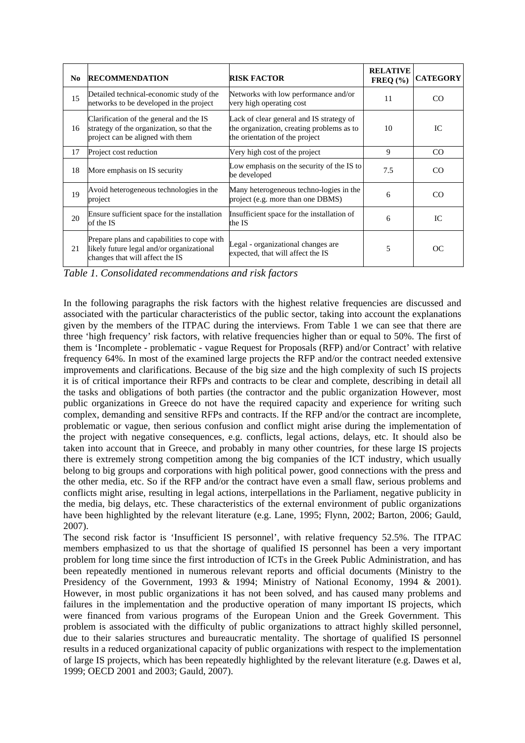| N <sub>0</sub> | <b>RECOMMENDATION</b>                                                                                                       | <b>RISK FACTOR</b>                                                                                                      | <b>RELATIVE</b><br>FREQ $(\% )$ | <b>CATEGORY</b> |
|----------------|-----------------------------------------------------------------------------------------------------------------------------|-------------------------------------------------------------------------------------------------------------------------|---------------------------------|-----------------|
| 15             | Detailed technical-economic study of the<br>networks to be developed in the project                                         | Networks with low performance and/or<br>very high operating cost                                                        | 11                              | CO              |
| 16             | Clarification of the general and the IS<br>strategy of the organization, so that the<br>project can be aligned with them    | Lack of clear general and IS strategy of<br>the organization, creating problems as to<br>the orientation of the project | 10                              | IC.             |
| 17             | Project cost reduction                                                                                                      | Very high cost of the project                                                                                           | 9                               | CO.             |
| 18             | More emphasis on IS security                                                                                                | Low emphasis on the security of the IS to<br>be developed                                                               | 7.5                             | CO              |
| 19             | Avoid heterogeneous technologies in the<br>project                                                                          | Many heterogeneous techno-logies in the<br>project (e.g. more than one DBMS)                                            | 6                               | CO              |
| 20             | Ensure sufficient space for the installation<br>of the IS                                                                   | Insufficient space for the installation of<br>the IS                                                                    | 6                               | IC              |
| 21             | Prepare plans and capabilities to cope with<br>likely future legal and/or organizational<br>changes that will affect the IS | Legal - organizational changes are<br>expected, that will affect the IS                                                 | 5                               | OC              |

*Table 1. Consolidated recommendations and risk factors* 

In the following paragraphs the risk factors with the highest relative frequencies are discussed and associated with the particular characteristics of the public sector, taking into account the explanations given by the members of the ITPAC during the interviews. From Table 1 we can see that there are three 'high frequency' risk factors, with relative frequencies higher than or equal to 50%. The first of them is 'Incomplete - problematic - vague Request for Proposals (RFP) and/or Contract' with relative frequency 64%. In most of the examined large projects the RFP and/or the contract needed extensive improvements and clarifications. Because of the big size and the high complexity of such IS projects it is of critical importance their RFPs and contracts to be clear and complete, describing in detail all the tasks and obligations of both parties (the contractor and the public organization However, most public organizations in Greece do not have the required capacity and experience for writing such complex, demanding and sensitive RFPs and contracts. If the RFP and/or the contract are incomplete, problematic or vague, then serious confusion and conflict might arise during the implementation of the project with negative consequences, e.g. conflicts, legal actions, delays, etc. It should also be taken into account that in Greece, and probably in many other countries, for these large IS projects there is extremely strong competition among the big companies of the ICT industry, which usually belong to big groups and corporations with high political power, good connections with the press and the other media, etc. So if the RFP and/or the contract have even a small flaw, serious problems and conflicts might arise, resulting in legal actions, interpellations in the Parliament, negative publicity in the media, big delays, etc. These characteristics of the external environment of public organizations have been highlighted by the relevant literature (e.g. Lane, 1995; Flynn, 2002; Barton, 2006; Gauld, 2007).

The second risk factor is 'Insufficient IS personnel', with relative frequency 52.5%. The ITPAC members emphasized to us that the shortage of qualified IS personnel has been a very important problem for long time since the first introduction of ICTs in the Greek Public Administration, and has been repeatedly mentioned in numerous relevant reports and official documents (Ministry to the Presidency of the Government, 1993 & 1994; Ministry of National Economy, 1994 & 2001). However, in most public organizations it has not been solved, and has caused many problems and failures in the implementation and the productive operation of many important IS projects, which were financed from various programs of the European Union and the Greek Government. This problem is associated with the difficulty of public organizations to attract highly skilled personnel, due to their salaries structures and bureaucratic mentality. The shortage of qualified IS personnel results in a reduced organizational capacity of public organizations with respect to the implementation of large IS projects, which has been repeatedly highlighted by the relevant literature (e.g. Dawes et al, 1999; OECD 2001 and 2003; Gauld, 2007).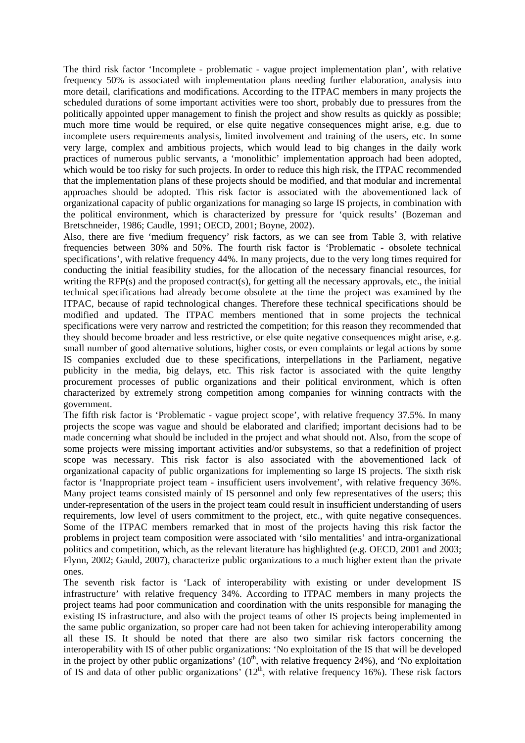The third risk factor 'Incomplete - problematic - vague project implementation plan', with relative frequency 50% is associated with implementation plans needing further elaboration, analysis into more detail, clarifications and modifications. According to the ITPAC members in many projects the scheduled durations of some important activities were too short, probably due to pressures from the politically appointed upper management to finish the project and show results as quickly as possible; much more time would be required, or else quite negative consequences might arise, e.g. due to incomplete users requirements analysis, limited involvement and training of the users, etc. In some very large, complex and ambitious projects, which would lead to big changes in the daily work practices of numerous public servants, a 'monolithic' implementation approach had been adopted, which would be too risky for such projects. In order to reduce this high risk, the ITPAC recommended that the implementation plans of these projects should be modified, and that modular and incremental approaches should be adopted. This risk factor is associated with the abovementioned lack of organizational capacity of public organizations for managing so large IS projects, in combination with the political environment, which is characterized by pressure for 'quick results' (Bozeman and Bretschneider, 1986; Caudle, 1991; OECD, 2001; Boyne, 2002).

Also, there are five 'medium frequency' risk factors, as we can see from Table 3, with relative frequencies between 30% and 50%. The fourth risk factor is 'Problematic - obsolete technical specifications', with relative frequency 44%. In many projects, due to the very long times required for conducting the initial feasibility studies, for the allocation of the necessary financial resources, for writing the  $RFP(s)$  and the proposed contract(s), for getting all the necessary approvals, etc., the initial technical specifications had already become obsolete at the time the project was examined by the ITPAC, because of rapid technological changes. Therefore these technical specifications should be modified and updated. The ITPAC members mentioned that in some projects the technical specifications were very narrow and restricted the competition; for this reason they recommended that they should become broader and less restrictive, or else quite negative consequences might arise, e.g. small number of good alternative solutions, higher costs, or even complaints or legal actions by some IS companies excluded due to these specifications, interpellations in the Parliament, negative publicity in the media, big delays, etc. This risk factor is associated with the quite lengthy procurement processes of public organizations and their political environment, which is often characterized by extremely strong competition among companies for winning contracts with the government.

The fifth risk factor is 'Problematic - vague project scope', with relative frequency 37.5%. In many projects the scope was vague and should be elaborated and clarified; important decisions had to be made concerning what should be included in the project and what should not. Also, from the scope of some projects were missing important activities and/or subsystems, so that a redefinition of project scope was necessary. This risk factor is also associated with the abovementioned lack of organizational capacity of public organizations for implementing so large IS projects. The sixth risk factor is 'Inappropriate project team - insufficient users involvement', with relative frequency 36%. Many project teams consisted mainly of IS personnel and only few representatives of the users; this under-representation of the users in the project team could result in insufficient understanding of users requirements, low level of users commitment to the project, etc., with quite negative consequences. Some of the ITPAC members remarked that in most of the projects having this risk factor the problems in project team composition were associated with 'silo mentalities' and intra-organizational politics and competition, which, as the relevant literature has highlighted (e.g. OECD, 2001 and 2003; Flynn, 2002; Gauld, 2007), characterize public organizations to a much higher extent than the private ones.

The seventh risk factor is 'Lack of interoperability with existing or under development IS infrastructure' with relative frequency 34%. According to ITPAC members in many projects the project teams had poor communication and coordination with the units responsible for managing the existing IS infrastructure, and also with the project teams of other IS projects being implemented in the same public organization, so proper care had not been taken for achieving interoperability among all these IS. It should be noted that there are also two similar risk factors concerning the interoperability with IS of other public organizations: 'No exploitation of the IS that will be developed in the project by other public organizations'  $(10<sup>th</sup>,$  with relative frequency 24%), and 'No exploitation of IS and data of other public organizations'  $(12<sup>th</sup>$ , with relative frequency 16%). These risk factors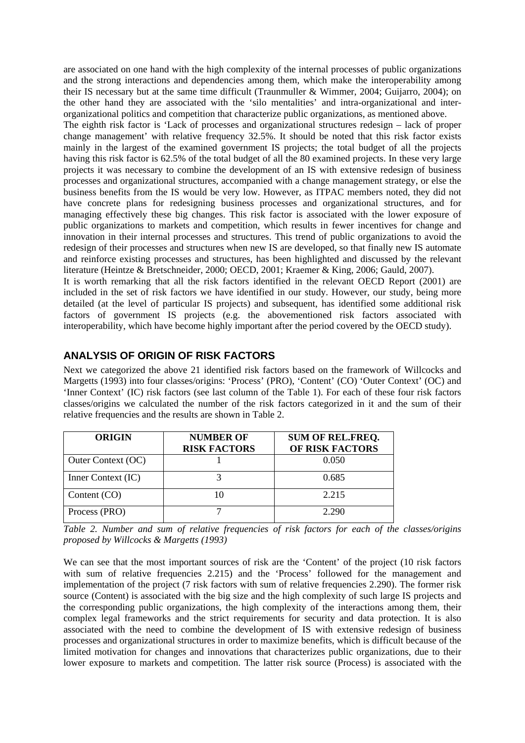are associated on one hand with the high complexity of the internal processes of public organizations and the strong interactions and dependencies among them, which make the interoperability among their IS necessary but at the same time difficult (Traunmuller & Wimmer, 2004; Guijarro, 2004); on the other hand they are associated with the 'silo mentalities' and intra-organizational and interorganizational politics and competition that characterize public organizations, as mentioned above.

The eighth risk factor is 'Lack of processes and organizational structures redesign – lack of proper change management' with relative frequency 32.5%. It should be noted that this risk factor exists mainly in the largest of the examined government IS projects; the total budget of all the projects having this risk factor is 62.5% of the total budget of all the 80 examined projects. In these very large projects it was necessary to combine the development of an IS with extensive redesign of business processes and organizational structures, accompanied with a change management strategy, or else the business benefits from the IS would be very low. However, as ITPAC members noted, they did not have concrete plans for redesigning business processes and organizational structures, and for managing effectively these big changes. This risk factor is associated with the lower exposure of public organizations to markets and competition, which results in fewer incentives for change and innovation in their internal processes and structures. This trend of public organizations to avoid the redesign of their processes and structures when new IS are developed, so that finally new IS automate and reinforce existing processes and structures, has been highlighted and discussed by the relevant literature (Heintze & Bretschneider, 2000; OECD, 2001; Kraemer & King, 2006; Gauld, 2007).

It is worth remarking that all the risk factors identified in the relevant OECD Report (2001) are included in the set of risk factors we have identified in our study. However, our study, being more detailed (at the level of particular IS projects) and subsequent, has identified some additional risk factors of government IS projects (e.g. the abovementioned risk factors associated with interoperability, which have become highly important after the period covered by the OECD study).

## **ANALYSIS OF ORIGIN OF RISK FACTORS**

Next we categorized the above 21 identified risk factors based on the framework of Willcocks and Margetts (1993) into four classes/origins: 'Process' (PRO), 'Content' (CO) 'Outer Context' (OC) and 'Inner Context' (IC) risk factors (see last column of the Table 1). For each of these four risk factors classes/origins we calculated the number of the risk factors categorized in it and the sum of their relative frequencies and the results are shown in Table 2.

| <b>ORIGIN</b>      | <b>NUMBER OF</b><br><b>RISK FACTORS</b> | <b>SUM OF REL.FREQ.</b><br>OF RISK FACTORS |
|--------------------|-----------------------------------------|--------------------------------------------|
| Outer Context (OC) |                                         | 0.050                                      |
| Inner Context (IC) |                                         | 0.685                                      |
| Content (CO)       |                                         | 2.215                                      |
| Process (PRO)      |                                         | 2.290                                      |

*Table 2. Number and sum of relative frequencies of risk factors for each of the classes/origins proposed by Willcocks & Margetts (1993)*

We can see that the most important sources of risk are the 'Content' of the project (10 risk factors with sum of relative frequencies 2.215) and the 'Process' followed for the management and implementation of the project (7 risk factors with sum of relative frequencies 2.290). The former risk source (Content) is associated with the big size and the high complexity of such large IS projects and the corresponding public organizations, the high complexity of the interactions among them, their complex legal frameworks and the strict requirements for security and data protection. It is also associated with the need to combine the development of IS with extensive redesign of business processes and organizational structures in order to maximize benefits, which is difficult because of the limited motivation for changes and innovations that characterizes public organizations, due to their lower exposure to markets and competition. The latter risk source (Process) is associated with the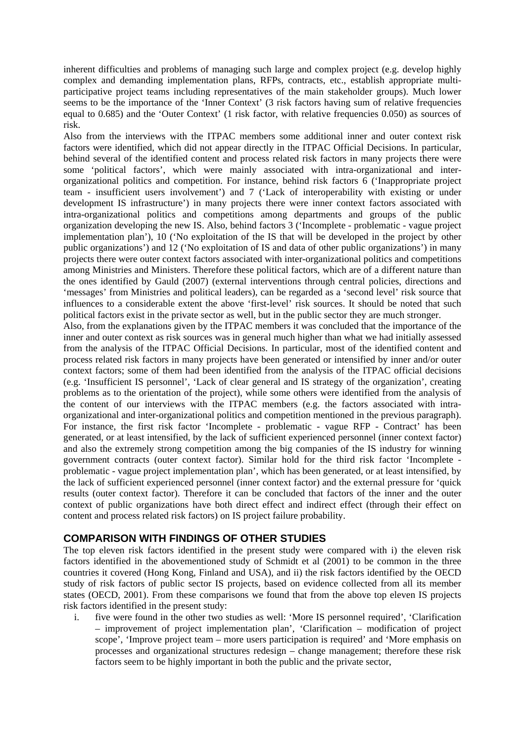inherent difficulties and problems of managing such large and complex project (e.g. develop highly complex and demanding implementation plans, RFPs, contracts, etc., establish appropriate multiparticipative project teams including representatives of the main stakeholder groups). Much lower seems to be the importance of the 'Inner Context' (3 risk factors having sum of relative frequencies equal to 0.685) and the 'Outer Context' (1 risk factor, with relative frequencies 0.050) as sources of risk.

Also from the interviews with the ITPAC members some additional inner and outer context risk factors were identified, which did not appear directly in the ITPAC Official Decisions. In particular, behind several of the identified content and process related risk factors in many projects there were some 'political factors', which were mainly associated with intra-organizational and interorganizational politics and competition. For instance, behind risk factors 6 ('Inappropriate project team - insufficient users involvement') and 7 ('Lack of interoperability with existing or under development IS infrastructure') in many projects there were inner context factors associated with intra-organizational politics and competitions among departments and groups of the public organization developing the new IS. Also, behind factors 3 ('Incomplete - problematic - vague project implementation plan'), 10 ('No exploitation of the IS that will be developed in the project by other public organizations') and 12 ('No exploitation of IS and data of other public organizations') in many projects there were outer context factors associated with inter-organizational politics and competitions among Ministries and Ministers. Therefore these political factors, which are of a different nature than the ones identified by Gauld (2007) (external interventions through central policies, directions and 'messages' from Ministries and political leaders), can be regarded as a 'second level' risk source that influences to a considerable extent the above 'first-level' risk sources. It should be noted that such political factors exist in the private sector as well, but in the public sector they are much stronger.

Also, from the explanations given by the ITPAC members it was concluded that the importance of the inner and outer context as risk sources was in general much higher than what we had initially assessed from the analysis of the ITPAC Official Decisions. In particular, most of the identified content and process related risk factors in many projects have been generated or intensified by inner and/or outer context factors; some of them had been identified from the analysis of the ITPAC official decisions (e.g. 'Insufficient IS personnel', 'Lack of clear general and IS strategy of the organization', creating problems as to the orientation of the project), while some others were identified from the analysis of the content of our interviews with the ITPAC members (e.g. the factors associated with intraorganizational and inter-organizational politics and competition mentioned in the previous paragraph). For instance, the first risk factor 'Incomplete - problematic - vague RFP - Contract' has been generated, or at least intensified, by the lack of sufficient experienced personnel (inner context factor) and also the extremely strong competition among the big companies of the IS industry for winning government contracts (outer context factor). Similar hold for the third risk factor 'Incomplete problematic - vague project implementation plan', which has been generated, or at least intensified, by the lack of sufficient experienced personnel (inner context factor) and the external pressure for 'quick results (outer context factor). Therefore it can be concluded that factors of the inner and the outer context of public organizations have both direct effect and indirect effect (through their effect on content and process related risk factors) on IS project failure probability.

## **COMPARISON WITH FINDINGS OF OTHER STUDIES**

The top eleven risk factors identified in the present study were compared with i) the eleven risk factors identified in the abovementioned study of Schmidt et al (2001) to be common in the three countries it covered (Hong Kong, Finland and USA), and ii) the risk factors identified by the OECD study of risk factors of public sector IS projects, based on evidence collected from all its member states (OECD, 2001). From these comparisons we found that from the above top eleven IS projects risk factors identified in the present study:

i. five were found in the other two studies as well: 'More IS personnel required', 'Clarification – improvement of project implementation plan', 'Clarification – modification of project scope', 'Improve project team – more users participation is required' and 'More emphasis on processes and organizational structures redesign – change management; therefore these risk factors seem to be highly important in both the public and the private sector,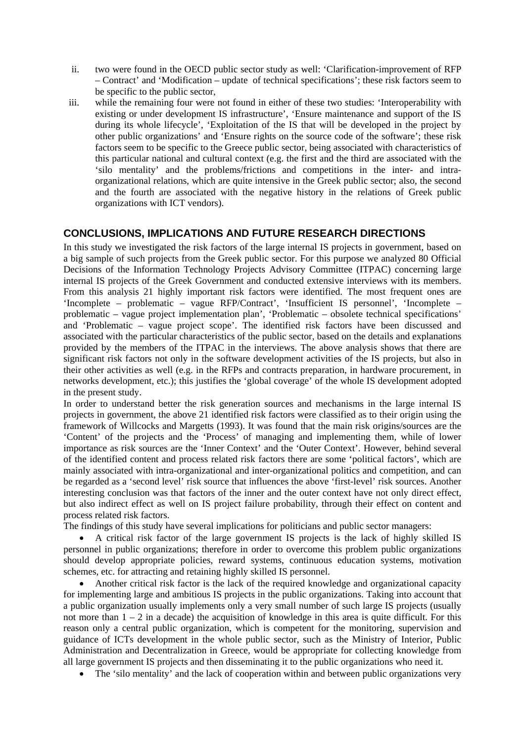- ii. two were found in the OECD public sector study as well: 'Clarification-improvement of RFP – Contract' and 'Modification – update of technical specifications'; these risk factors seem to be specific to the public sector,
- iii. while the remaining four were not found in either of these two studies: 'Interoperability with existing or under development IS infrastructure', 'Ensure maintenance and support of the IS during its whole lifecycle', 'Exploitation of the IS that will be developed in the project by other public organizations' and 'Ensure rights on the source code of the software'; these risk factors seem to be specific to the Greece public sector, being associated with characteristics of this particular national and cultural context (e.g. the first and the third are associated with the 'silo mentality' and the problems/frictions and competitions in the inter- and intraorganizational relations, which are quite intensive in the Greek public sector; also, the second and the fourth are associated with the negative history in the relations of Greek public organizations with ICT vendors).

## **CONCLUSIONS, IMPLICATIONS AND FUTURE RESEARCH DIRECTIONS**

In this study we investigated the risk factors of the large internal IS projects in government, based on a big sample of such projects from the Greek public sector. For this purpose we analyzed 80 Official Decisions of the Information Technology Projects Advisory Committee (ITPAC) concerning large internal IS projects of the Greek Government and conducted extensive interviews with its members. From this analysis 21 highly important risk factors were identified. The most frequent ones are 'Incomplete – problematic – vague RFP/Contract', 'Insufficient IS personnel', 'Incomplete – problematic – vague project implementation plan', 'Problematic – obsolete technical specifications' and 'Problematic – vague project scope'. The identified risk factors have been discussed and associated with the particular characteristics of the public sector, based on the details and explanations provided by the members of the ITPAC in the interviews. The above analysis shows that there are significant risk factors not only in the software development activities of the IS projects, but also in their other activities as well (e.g. in the RFPs and contracts preparation, in hardware procurement, in networks development, etc.); this justifies the 'global coverage' of the whole IS development adopted in the present study.

In order to understand better the risk generation sources and mechanisms in the large internal IS projects in government, the above 21 identified risk factors were classified as to their origin using the framework of Willcocks and Margetts (1993). It was found that the main risk origins/sources are the 'Content' of the projects and the 'Process' of managing and implementing them, while of lower importance as risk sources are the 'Inner Context' and the 'Outer Context'. However, behind several of the identified content and process related risk factors there are some 'political factors', which are mainly associated with intra-organizational and inter-organizational politics and competition, and can be regarded as a 'second level' risk source that influences the above 'first-level' risk sources. Another interesting conclusion was that factors of the inner and the outer context have not only direct effect, but also indirect effect as well on IS project failure probability, through their effect on content and process related risk factors.

The findings of this study have several implications for politicians and public sector managers:

• A critical risk factor of the large government IS projects is the lack of highly skilled IS personnel in public organizations; therefore in order to overcome this problem public organizations should develop appropriate policies, reward systems, continuous education systems, motivation schemes, etc. for attracting and retaining highly skilled IS personnel.

• Another critical risk factor is the lack of the required knowledge and organizational capacity for implementing large and ambitious IS projects in the public organizations. Taking into account that a public organization usually implements only a very small number of such large IS projects (usually not more than  $1 - 2$  in a decade) the acquisition of knowledge in this area is quite difficult. For this reason only a central public organization, which is competent for the monitoring, supervision and guidance of ICTs development in the whole public sector, such as the Ministry of Interior, Public Administration and Decentralization in Greece, would be appropriate for collecting knowledge from all large government IS projects and then disseminating it to the public organizations who need it.

• The 'silo mentality' and the lack of cooperation within and between public organizations very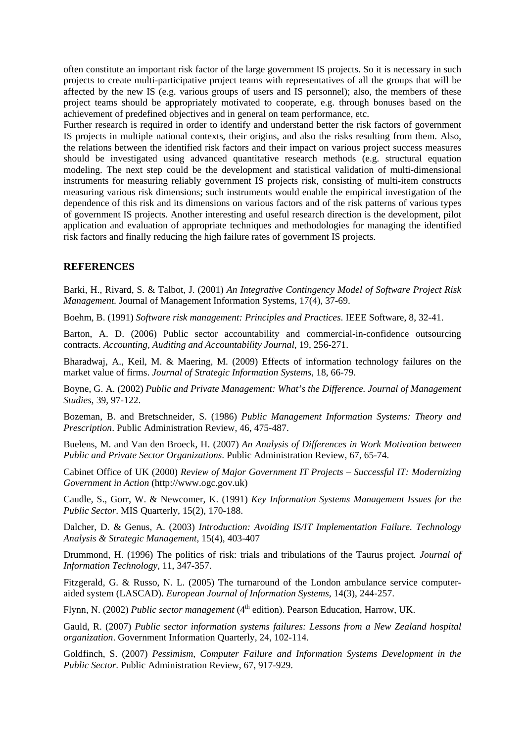often constitute an important risk factor of the large government IS projects. So it is necessary in such projects to create multi-participative project teams with representatives of all the groups that will be affected by the new IS (e.g. various groups of users and IS personnel); also, the members of these project teams should be appropriately motivated to cooperate, e.g. through bonuses based on the achievement of predefined objectives and in general on team performance, etc.

Further research is required in order to identify and understand better the risk factors of government IS projects in multiple national contexts, their origins, and also the risks resulting from them. Also, the relations between the identified risk factors and their impact on various project success measures should be investigated using advanced quantitative research methods (e.g. structural equation modeling. The next step could be the development and statistical validation of multi-dimensional instruments for measuring reliably government IS projects risk, consisting of multi-item constructs measuring various risk dimensions; such instruments would enable the empirical investigation of the dependence of this risk and its dimensions on various factors and of the risk patterns of various types of government IS projects. Another interesting and useful research direction is the development, pilot application and evaluation of appropriate techniques and methodologies for managing the identified risk factors and finally reducing the high failure rates of government IS projects.

#### **REFERENCES**

Barki, H., Rivard, S. & Talbot, J. (2001) *An Integrative Contingency Model of Software Project Risk Management.* Journal of Management Information Systems, 17(4), 37-69.

Boehm, B. (1991) *Software risk management: Principles and Practices*. IEEE Software, 8, 32-41.

Barton, A. D. (2006) Public sector accountability and commercial-in-confidence outsourcing contracts. *Accounting, Auditing and Accountability Journal*, 19, 256-271.

Bharadwaj, A., Keil, M. & Maering, M. (2009) Effects of information technology failures on the market value of firms. *Journal of Strategic Information Systems*, 18, 66-79.

Boyne, G. A. (2002) *Public and Private Management: What's the Difference. Journal of Management Studies*, 39, 97-122.

Bozeman, B. and Bretschneider, S. (1986) *Public Management Information Systems: Theory and Prescription*. Public Administration Review, 46, 475-487.

Buelens, M. and Van den Broeck, H. (2007) *An Analysis of Differences in Work Motivation between Public and Private Sector Organizations*. Public Administration Review, 67, 65-74.

Cabinet Office of UK (2000) *Review of Major Government IT Projects – Successful IT: Modernizing Government in Action* (http://www.ogc.gov.uk)

Caudle, S., Gorr, W. & Newcomer, K. (1991) *Key Information Systems Management Issues for the Public Sector*. MIS Quarterly, 15(2), 170-188.

Dalcher, D. & Genus, A. (2003) *Introduction: Avoiding IS/IT Implementation Failure. Technology Analysis & Strategic Management*, 15(4), 403-407

Drummond, H. (1996) The politics of risk: trials and tribulations of the Taurus project*. Journal of Information Technology*, 11, 347-357.

Fitzgerald, G. & Russo, N. L. (2005) The turnaround of the London ambulance service computeraided system (LASCAD). *European Journal of Information Systems*, 14(3), 244-257.

Flynn, N. (2002) *Public sector management* (4<sup>th</sup> edition). Pearson Education, Harrow, UK.

Gauld, R. (2007) *Public sector information systems failures: Lessons from a New Zealand hospital organization*. Government Information Quarterly, 24, 102-114.

Goldfinch, S. (2007) *Pessimism, Computer Failure and Information Systems Development in the Public Sector*. Public Administration Review, 67, 917-929.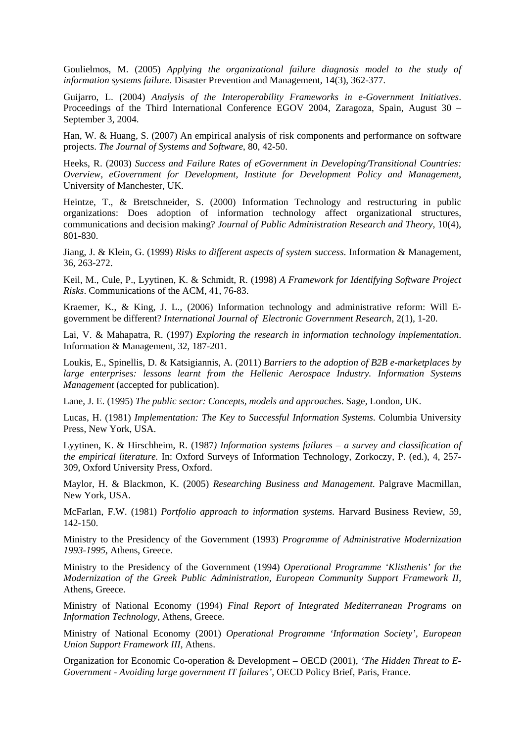Goulielmos, M. (2005) *Applying the organizational failure diagnosis model to the study of information systems failure*. Disaster Prevention and Management, 14(3), 362-377.

Guijarro, L. (2004) *Analysis of the Interoperability Frameworks in e-Government Initiatives*. Proceedings of the Third International Conference EGOV 2004, Zaragoza, Spain, August 30 – September 3, 2004.

Han, W. & Huang, S. (2007) An empirical analysis of risk components and performance on software projects. *The Journal of Systems and Software*, 80, 42-50.

Heeks, R. (2003) *Success and Failure Rates of eGovernment in Developing/Transitional Countries: Overview, eGovernment for Development, Institute for Development Policy and Management*, University of Manchester, UK.

Heintze, T., & Bretschneider, S. (2000) Information Technology and restructuring in public organizations: Does adoption of information technology affect organizational structures, communications and decision making? *Journal of Public Administration Research and Theory*, 10(4), 801-830.

Jiang, J. & Klein, G. (1999) *Risks to different aspects of system success*. Information & Management, 36, 263-272.

Keil, M., Cule, P., Lyytinen, K. & Schmidt, R. (1998) *A Framework for Identifying Software Project Risks*. Communications of the ACM, 41, 76-83.

Kraemer, K., & King, J. L., (2006) Information technology and administrative reform: Will Egovernment be different? *International Journal of Electronic Government Research*, 2(1), 1-20.

Lai, V. & Mahapatra, R. (1997) *Exploring the research in information technology implementation*. Information & Management, 32, 187-201.

Loukis, E., Spinellis, D. & Katsigiannis, A. (2011) *Barriers to the adoption of B2B e-marketplaces by large enterprises: lessons learnt from the Hellenic Aerospace Industry. Information Systems Management* (accepted for publication).

Lane, J. E. (1995) *The public sector: Concepts, models and approaches*. Sage, London, UK.

Lucas, H. (1981) *Implementation: The Key to Successful Information Systems*. Columbia University Press, New York, USA.

Lyytinen, K. & Hirschheim, R. (1987*) Information systems failures – a survey and classification of the empirical literature.* In: Oxford Surveys of Information Technology, Zorkoczy, P. (ed.), 4, 257- 309, Oxford University Press, Oxford.

Maylor, H. & Blackmon, K. (2005) *Researching Business and Management*. Palgrave Macmillan, New York, USA.

McFarlan, F.W. (1981) *Portfolio approach to information systems*. Harvard Business Review, 59, 142-150.

Ministry to the Presidency of the Government (1993) *Programme of Administrative Modernization 1993-1995*, Athens, Greece.

Ministry to the Presidency of the Government (1994) *Operational Programme 'Klisthenis' for the Modernization of the Greek Public Administration, European Community Support Framework II*, Athens, Greece.

Ministry of National Economy (1994) *Final Report of Integrated Mediterranean Programs on Information Technology*, Athens, Greece.

Ministry of National Economy (2001) *Operational Programme 'Information Society', European Union Support Framework III*, Athens.

Organization for Economic Co-operation & Development – OECD (2001), *'The Hidden Threat to E-Government - Avoiding large government IT failures'*, OECD Policy Brief, Paris, France.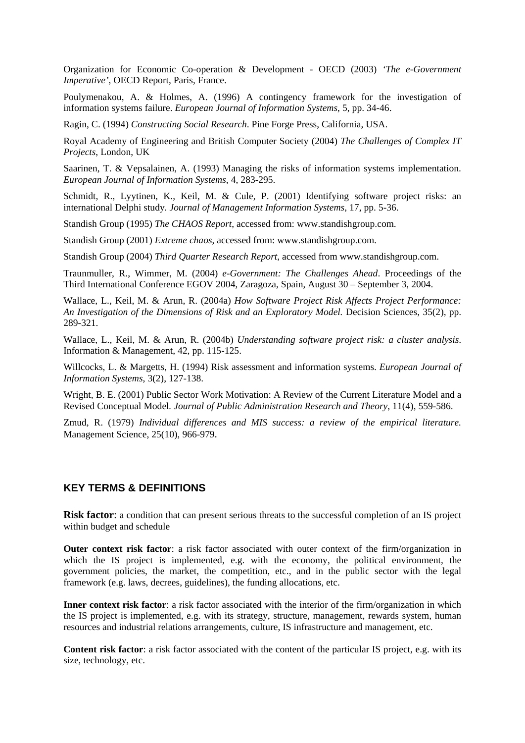Organization for Economic Co-operation & Development - OECD (2003) *'The e-Government Imperative'*, OECD Report, Paris, France.

Poulymenakou, A. & Holmes, A. (1996) A contingency framework for the investigation of information systems failure. *European Journal of Information Systems*, 5, pp. 34-46.

Ragin, C. (1994) *Constructing Social Research*. Pine Forge Press, California, USA.

Royal Academy of Engineering and British Computer Society (2004) *The Challenges of Complex IT Projects*, London, UK

Saarinen, T. & Vepsalainen, A. (1993) Managing the risks of information systems implementation. *European Journal of Information Systems*, 4, 283-295.

Schmidt, R., Lyytinen, K., Keil, M. & Cule, P. (2001) Identifying software project risks: an international Delphi study*. Journal of Management Information Systems*, 17, pp. 5-36.

Standish Group (1995) *The CHAOS Report*, accessed from: www.standishgroup.com.

Standish Group (2001) *Extreme chaos*, accessed from: www.standishgroup.com.

Standish Group (2004) *Third Quarter Research Report*, accessed from www.standishgroup.com.

Traunmuller, R., Wimmer, M. (2004) *e-Government: The Challenges Ahead*. Proceedings of the Third International Conference EGOV 2004, Zaragoza, Spain, August 30 – September 3, 2004.

Wallace, L., Keil, M. & Arun, R. (2004a) *How Software Project Risk Affects Project Performance: An Investigation of the Dimensions of Risk and an Exploratory Model.* Decision Sciences, 35(2), pp. 289-321.

Wallace, L., Keil, M. & Arun, R. (2004b) *Understanding software project risk: a cluster analysis*. Information & Management, 42, pp. 115-125.

Willcocks, L. & Margetts, H. (1994) Risk assessment and information systems. *European Journal of Information Systems*, 3(2), 127-138.

Wright, B. E. (2001) Public Sector Work Motivation: A Review of the Current Literature Model and a Revised Conceptual Model*. Journal of Public Administration Research and Theory*, 11(4), 559-586.

Zmud, R. (1979) *Individual differences and MIS success: a review of the empirical literature.*  Management Science, 25(10), 966-979.

#### **KEY TERMS & DEFINITIONS**

**Risk factor**: a condition that can present serious threats to the successful completion of an IS project within budget and schedule

**Outer context risk factor**: a risk factor associated with outer context of the firm/organization in which the IS project is implemented, e.g. with the economy, the political environment, the government policies, the market, the competition, etc., and in the public sector with the legal framework (e.g. laws, decrees, guidelines), the funding allocations, etc.

**Inner context risk factor**: a risk factor associated with the interior of the firm/organization in which the IS project is implemented, e.g. with its strategy, structure, management, rewards system, human resources and industrial relations arrangements, culture, IS infrastructure and management, etc.

**Content risk factor**: a risk factor associated with the content of the particular IS project, e.g. with its size, technology, etc.